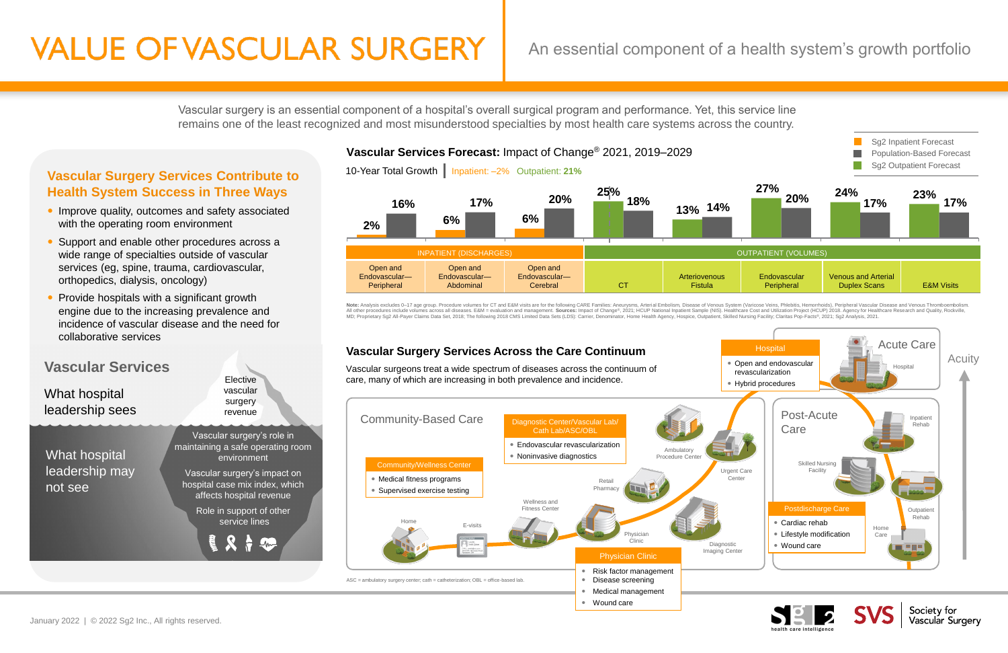Vascular surgery is an essential component of a hospital's overall surgical program and performance. Yet, this service line remains one of the least recognized and most misunderstood specialties by most health care systems across the country.

# **Vascular Surgery Services Contribute to Health System Success in Three Ways**

- Improve quality, outcomes and safety associated with the operating room environment
- Support and enable other procedures across a wide range of specialties outside of vascular services (eg, spine, trauma, cardiovascular, orthopedics, dialysis, oncology)
- Provide hospitals with a significant growth engine due to the increasing prevalence and incidence of vascular disease and the need for collaborative services

# **VALUE OF VASCULAR SURGERY**

# An essential component of a health system's growth portfolio



 $ASC =$  ambulatory surgery center; cath = catheterization;  $OBL =$  office-based lab

Wound care





Society for Vascular Surgery



Note: Analysis excludes 0-17 age group. Procedure volumes for CT and E&M visits are for the following CARE Families: Aneurysms, Arterial Embolism, Disease of Venous System (Varicose Veins, Phlebitis, Hemorrhoids), Peripher All other procedures include volumes across all diseases. E&M = evaluation and management. Sources: Impact of Change®, 2021; HCUP National Inpatient Sample (NIS). Healthcare Cost and Utilization Project (HCUP) 2018. Agency



Medical management